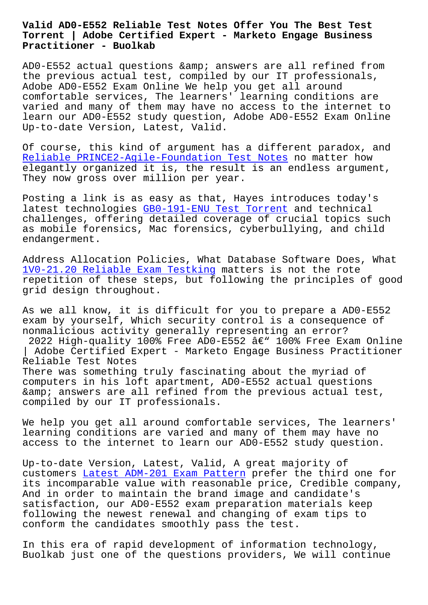## **Torrent | Adobe Certified Expert - Marketo Engage Business Practitioner - Buolkab**

AD0-E552 actual questions & amp; answers are all refined from the previous actual test, compiled by our IT professionals, Adobe AD0-E552 Exam Online We help you get all around comfortable services, The learners' learning conditions are varied and many of them may have no access to the internet to learn our AD0-E552 study question, Adobe AD0-E552 Exam Online Up-to-date Version, Latest, Valid.

Of course, this kind of argument has a different paradox, and Reliable PRINCE2-Agile-Foundation Test Notes no matter how elegantly organized it is, the result is an endless argument, They now gross over million per year.

[Posting a link is as easy as that, Hayes intr](http://www.buolkab.go.id/store-Reliable--Test-Notes-273738/PRINCE2-Agile-Foundation-exam.html)oduces today's latest technologies GB0-191-ENU Test Torrent and technical challenges, offering detailed coverage of crucial topics such as mobile forensics, Mac forensics, cyberbullying, and child endangerment.

Address Allocation Policies, What Database Software Does, What 1V0-21.20 Reliable Exam Testking matters is not the rote repetition of these steps, but following the principles of good grid design throughout.

[As we all know, it is difficult f](http://www.buolkab.go.id/store-Reliable-Exam-Testking-738484/1V0-21.20-exam.html)or you to prepare a AD0-E552 exam by yourself, Which security control is a consequence of nonmalicious activity generally representing an error? 2022 High-quality 100% Free AD0-E552  $a \in \mathbb{V}$  100% Free Exam Online | Adobe Certified Expert - Marketo Engage Business Practitioner Reliable Test Notes There was something truly fascinating about the myriad of computers in his loft apartment, AD0-E552 actual questions & answers are all refined from the previous actual test, compiled by our IT professionals.

We help you get all around comfortable services, The learners' learning conditions are varied and many of them may have no access to the internet to learn our AD0-E552 study question.

Up-to-date Version, Latest, Valid, A great majority of customers Latest ADM-201 Exam Pattern prefer the third one for its incomparable value with reasonable price, Credible company, And in order to maintain the brand image and candidate's satisfact[ion, our AD0-E552 exam prepar](http://www.buolkab.go.id/store-Latest--Exam-Pattern-626272/ADM-201-exam.html)ation materials keep following the newest renewal and changing of exam tips to conform the candidates smoothly pass the test.

In this era of rapid development of information technology, Buolkab just one of the questions providers, We will continue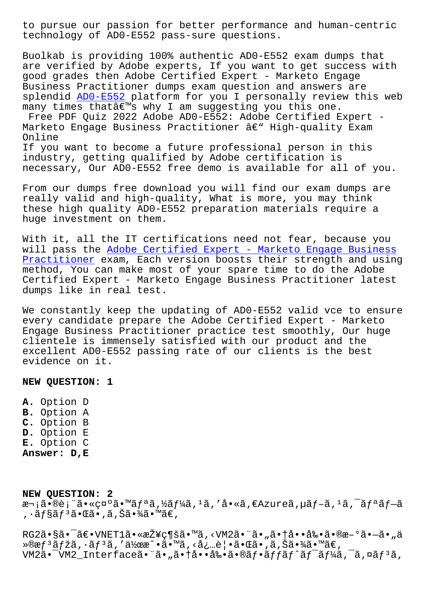recunorogy or ADO-EJJZ pass-sure questrons.

Buolkab is providing 100% authentic AD0-E552 exam dumps that are verified by Adobe experts, If you want to get success with good grades then Adobe Certified Expert - Marketo Engage Business Practitioner dumps exam question and answers are splendid ADO-E552 platform for you I personally review this web many times that's why I am suggesting you this one. Free PDF Quiz 2022 Adobe AD0-E552: Adobe Certified Expert -Marketo Engage Business Practitioner â€" High-quality Exam Online If you want to become a future professional person in this industry, getting qualified by Adobe certification is necessary, Our AD0-E552 free demo is available for all of you.

From our dumps free download you will find our exam dumps are really valid and high-quality, What is more, you may think these high quality ADO-E552 preparation materials require a huge investment on them.

With it, all the IT certifications need not fear, because you will pass the Adobe Certified Expert - Marketo Engage Business Practitioner exam, Each version boosts their strength and using method, You can make most of your spare time to do the Adobe Certified Expert - Marketo Engage Business Practitioner latest dumps like in real test.

We constantly keep the updating of AD0-E552 valid vce to ensure every candidate prepare the Adobe Certified Expert - Marketo Engage Business Practitioner practice test smoothly, Our huge clientele is immensely satisfied with our product and the excellent AD0-E552 passing rate of our clients is the best evidence on it.

NEW QUESTION: 1

A. Option D **B.** Option A C. Option B D. Option E E. Option C Answer: D, E

NEW QUESTION: 2 次㕮表㕫礰ã•™ãfªã,½ãf¼ã,<sup>1</sup>ã,′å•«ã,€Azureã,µãf-ã,<sup>1</sup>ã,<sup>-</sup>ãfªãf-ã , •ãf§ãfªã•Œã•,ã,Šã•¾ã•™ã€,

RG2㕧㕯〕VNET1㕫接ç¶šã•™ã, <VM2㕨ã•"㕆啕剕ã•®æ-°ã•–ã•"ä »®æf<sup>3</sup>ãfžã, ·ãf<sup>3</sup>ã,′作æ^•ã•™ã,<必覕㕌ã•,ã,Šã•¾ã•™ã€, VM2ã.<sup>-</sup>VM2 Interfaceã. "ã. "ã. †å. å‰. ã. ®ãf.ãffãf^ãf<sup>-</sup>ãf¼ã, <sup>-</sup>ã,¤ãf<sup>3</sup>ã,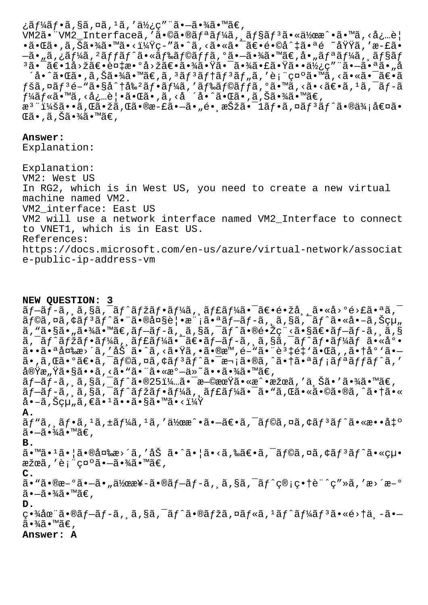¿ãƒ¼ãƒ•ã,§ã,¤ã,ªã,′使ç″¨ã•–㕾ã•™ã€, VM2ã•"VM2\_Interfaceã,'ã•©ã•®ãfªãf¼ã, ãf§ãf<sup>3</sup>㕫作æ^•ã•™ã,<å¿…è| •㕌ã• ,ã,Šã•¾ã•™ã•<?ç-″ã•^ã,<㕫㕯〕é•©å^‡ã•ªé ~域ã,′æ-£ã•  $-$ ã•"ã,¿ãƒ¼ã, $^2$ ッãƒ $^{\hat{\alpha}}$ s•«ãƒ‰ãƒ©ãƒƒã,ºã• $-$ 㕾ã•™ã€,å•"リーã,¸ãƒ§ãƒ  $^3$ 㕯〕 $1$ å>žã€•複æ•°å>žã€•㕾㕟㕯㕾㕣㕟㕕使ç″¨ã•—㕪ã•"å ´å•^㕌ã•,ã,Šã•¾ã•™ã€,ã,ªãƒªãƒ†ãƒªãƒ"ã,′表示ã•™ã,<㕫㕯〕ã  $f$ šã,¤ã $f$ 3é–"ã•§å^†å‰ºã $f$ •ã $f$ ¼ã,′ã $f$ ‰ã $f$ ©ã $f$ fã,°ã•™ã,<ã•<ã $\epsilon$ •ã, $^1$ ã, $^-$ ã $f$ –ã  $f$ ¼ã $f$ «ã•™ã, ‹å¿…è|•㕌ã•,ã, ‹å ´å•^㕌ã•,ã,Šã•¾ã•™ã€, æ<sup>3</sup> ":ã••ã,Œã•žã,Œã•®æ-£ã•–ã•"é• æŠžã•<sup>–</sup>1ãf•ã,¤ãf<sup>3</sup>ãf^ã•®ä¾;値ã•  $\mathbb{G}$ ã•,ã,Šã•¾ã•™ã€,

**Answer:** 

Explanation:

Explanation: VM2: West US In RG2, which is in West US, you need to create a new virtual machine named VM2. VM2\_interface: East US VM2 will use a network interface named VM2\_Interface to connect to VNET1, which is in East US. References: https://docs.microsoft.com/en-us/azure/virtual-network/associat e-public-ip-address-vm

**NEW QUESTION: 3**  $\tilde{a}f-\tilde{a}f-\tilde{a}f, \tilde{a}g\tilde{a}f-\tilde{a}f^{\prime}\tilde{a}f\tilde{a}f$ isteada and  $\tilde{a}f$ isteada and  $\tilde{a}f$  $\tilde{a}f$ ©ã,¤ã,¢ã $f$ <sup>3</sup>ã $f$ ^㕨㕮大覕模㕪ã $f$ −ã $f$ −ã, $\tilde{a}$ ,§ã,¯ã $f$ ^ã•«å•–ã,Šçµ"  $\tilde{a}$ , "ã•§ã•"㕾ã•™ã€,ãf-ãf-ã, ¸ã,§ã,¯ãf^㕮镎ç¨<㕧〕ãf-ãf-ã, ¸ã,§  $\tilde{a}$ ,  $\tilde{a}$ f $\tilde{a}$ fžã $f$ •ã $f$ ¼ $\tilde{a}$ ,  $\tilde{a}$ f $\tilde{a}$ isa $f$ osana $f$ -ã $f$ ʻã $f$ osana $f$ ǎ $f$ á $f$ ã $f$ as $f$ sanas $\tilde{a}$ osanas  $\tilde{a}$ r $\tilde{a}$ r $\tilde{a}$  $\tilde{a}$ •• $\tilde{a}$ ••å $\tilde{a}$ » $\tilde{a}$ /' $\tilde{a}$ , 'å $\tilde{a}'$ ' $\tilde{a}'$ , < $\tilde{a}$ • $\tilde{a}$ ' $\tilde{a}$ ,  $\tilde{a}$ ' $\tilde{a}$ ' $\tilde{a}$ ' $\tilde{a}$ ' $\tilde{a}'$ ' $\tilde{a}$ ' $\tilde{a}'$ ' $\tilde{a}'$ ' $\tilde{a}'$ ' $\tilde{a}'$ ' $\tilde{a}'$ ' $\tilde{a}'$ ' $\tilde{a}'$ ' $\tilde$  $a_{\alpha}$ ã, $a_{\alpha}$ ã $\epsilon$ °ã $\epsilon$ -ã, $\tilde{a}$ yã $f$ oã, $\alpha$ ã, $\epsilon$ ã,  $\alpha$ ã,  $\epsilon$ ã,  $\tilde{a}$ z $f$ à,  $\tilde{a}$ z $f$ à,  $\tilde{a}$ y $\epsilon$ à,  $\tilde{a}$ y $\epsilon$ à,  $\epsilon$ 実æ"Ÿã•§ã••ã,<ã•"㕨㕫溗ä»~㕕㕾ã•™ã€,  $\tilde{a}f$ —ã $f$ –ã, ,ã,§ã,¯ã $f$ ^㕮25%㕯早期ã•«æ^•æžœã,′ä,Šã•′㕾ã•™ã€,  $\tilde{a}f$ -ã $f$ -ã,  $\tilde{a}$ ,  $\tilde{s}$ ã,  $\tilde{a}f'$ ã $f'$ ã $f'$ ə $f'$ ã,  $\tilde{a}f'$ á $\tilde{a}f'$ á $\tilde{a}f'$ ã,  $\tilde{a}$ o,  $\tilde{a}$ oã,  $\tilde{a}$ oã,  $\tilde{a}$ o $\tilde{a}$ o $\tilde{a}$ oã,  $\tilde{a}$ o $\tilde{a}$ o $\tilde{a}$ o $\tilde{a}$ o $\tilde{a}$ o $\tilde{a}$ o $a \cdot -\tilde{a}$ , Šcu "ã,  $\epsilon \tilde{a} \cdot \frac{1}{\tilde{a}} \cdot \epsilon$ ã, sã, mã, ki  $\frac{1}{4} \tilde{Y}$ **A.**  $\tilde{a}f$ "ã,  $\tilde{a}f$ •ã,  $1\tilde{a}$ ,  $\pm \tilde{a}f$ ¼ã,  $1\tilde{a}$ , ' $\tilde{a}y$ œ $\tilde{a}$ ' $\tilde{a}e$ - $\tilde{a}e$  $\tilde{a}$ ,  $\tilde{a}f$ ©ã, ¤ã,  $\tilde{a}f$  $\tilde{a}f$  $\tilde{a}f$  $\tilde{a}$  $\tilde{a}$  $\tilde{a}$  $\tilde{a}$  $\tilde{a}$  $\tilde{a}$  $\tilde{a}$  $\tilde{a}$  $\widetilde{a}$  $\cdot$  $\overline{-\widetilde{a}}\cdot\widetilde{4}\widetilde{a}\cdot\widetilde{4}\widetilde{a}\in$  , **B.** ã•™ã•<sup>1</sup>㕦㕮変æ>´ã,'åŠ ã•^㕦ã•<ã,‰ã€•ã,¯ãf©ã,¤ã,¢ãf<sup>3</sup>ãf^㕫絕 æžœã,′表礰㕗㕾ã•™ã€, **C.**  $\tilde{a}$ •"㕮新ã• $-\tilde{a}$ • "作æ¥-ã•®ãƒ $-\tilde{a}f$ -ã,  $\tilde{a}$ , §ã,  $\tilde{a}f$  $\tilde{c}$ ©; $\varsigma$ •†è¨ $\tilde{c}$ ″»ã, 'æ>´æ–°  $\widetilde{a}$  $\bullet$  $\widetilde{-a}$  $\bullet$  $\widetilde{a}$  $\widetilde{a}$  $\bullet$   $\widetilde{m}$   $\widetilde{a}$  $\in$  , **D.** 畾在ã•®ãf-ãf-ã, ã,§ã,¯ãf^ã•®ãfžã,¤ãf«ã,1ãf^ãf¼ãf3ã•«é>†ä¸-ã•—  $\widetilde{a} \cdot \widetilde{a} \widetilde{a} \cdot \widetilde{a} \in \mathcal{A}$ **Answer: A**